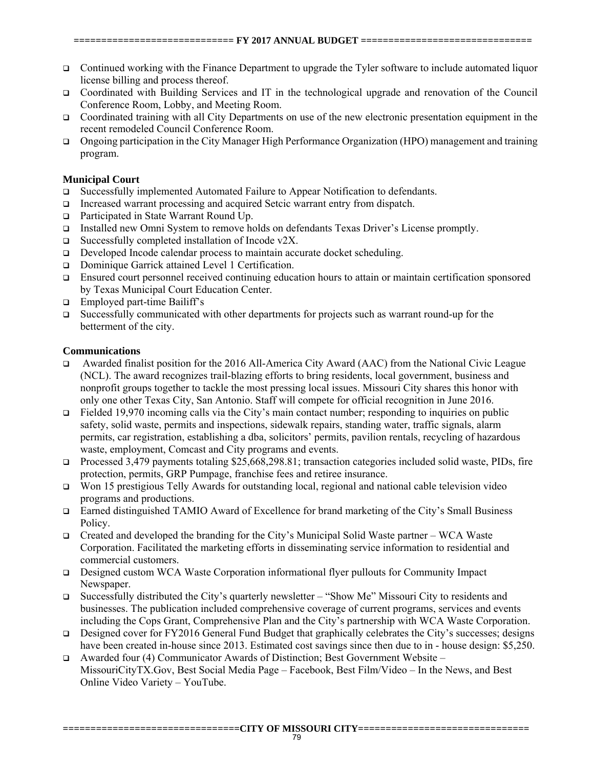- Continued working with the Finance Department to upgrade the Tyler software to include automated liquor license billing and process thereof.
- Coordinated with Building Services and IT in the technological upgrade and renovation of the Council Conference Room, Lobby, and Meeting Room.
- □ Coordinated training with all City Departments on use of the new electronic presentation equipment in the recent remodeled Council Conference Room.
- Ongoing participation in the City Manager High Performance Organization (HPO) management and training program.

## **Municipal Court**

- □ Successfully implemented Automated Failure to Appear Notification to defendants.
- Increased warrant processing and acquired Setcic warrant entry from dispatch.
- □ Participated in State Warrant Round Up.
- □ Installed new Omni System to remove holds on defendants Texas Driver's License promptly.
- $\Box$  Successfully completed installation of Incode v2X.
- □ Developed Incode calendar process to maintain accurate docket scheduling.
- □ Dominique Garrick attained Level 1 Certification.
- Ensured court personnel received continuing education hours to attain or maintain certification sponsored by Texas Municipal Court Education Center.
- $\Box$  Employed part-time Bailiff's
- $\Box$  Successfully communicated with other departments for projects such as warrant round-up for the betterment of the city.

## **Communications**

- Awarded finalist position for the 2016 All-America City Award (AAC) from the National Civic League (NCL). The award recognizes trail-blazing efforts to bring residents, local government, business and nonprofit groups together to tackle the most pressing local issues. Missouri City shares this honor with only one other Texas City, San Antonio. Staff will compete for official recognition in June 2016.
- Fielded 19,970 incoming calls via the City's main contact number; responding to inquiries on public safety, solid waste, permits and inspections, sidewalk repairs, standing water, traffic signals, alarm permits, car registration, establishing a dba, solicitors' permits, pavilion rentals, recycling of hazardous waste, employment, Comcast and City programs and events.
- □ Processed 3,479 payments totaling \$25,668,298.81; transaction categories included solid waste, PIDs, fire protection, permits, GRP Pumpage, franchise fees and retiree insurance.
- Won 15 prestigious Telly Awards for outstanding local, regional and national cable television video programs and productions.
- □ Earned distinguished TAMIO Award of Excellence for brand marketing of the City's Small Business Policy.
- Created and developed the branding for the City's Municipal Solid Waste partner WCA Waste Corporation. Facilitated the marketing efforts in disseminating service information to residential and commercial customers.
- Designed custom WCA Waste Corporation informational flyer pullouts for Community Impact Newspaper.
- Successfully distributed the City's quarterly newsletter "Show Me" Missouri City to residents and businesses. The publication included comprehensive coverage of current programs, services and events including the Cops Grant, Comprehensive Plan and the City's partnership with WCA Waste Corporation.
- Designed cover for FY2016 General Fund Budget that graphically celebrates the City's successes; designs have been created in-house since 2013. Estimated cost savings since then due to in - house design: \$5,250.
- Awarded four (4) Communicator Awards of Distinction; Best Government Website MissouriCityTX.Gov, Best Social Media Page – Facebook, Best Film/Video – In the News, and Best Online Video Variety – YouTube.

**================================CITY OF MISSOURI CITY===============================**